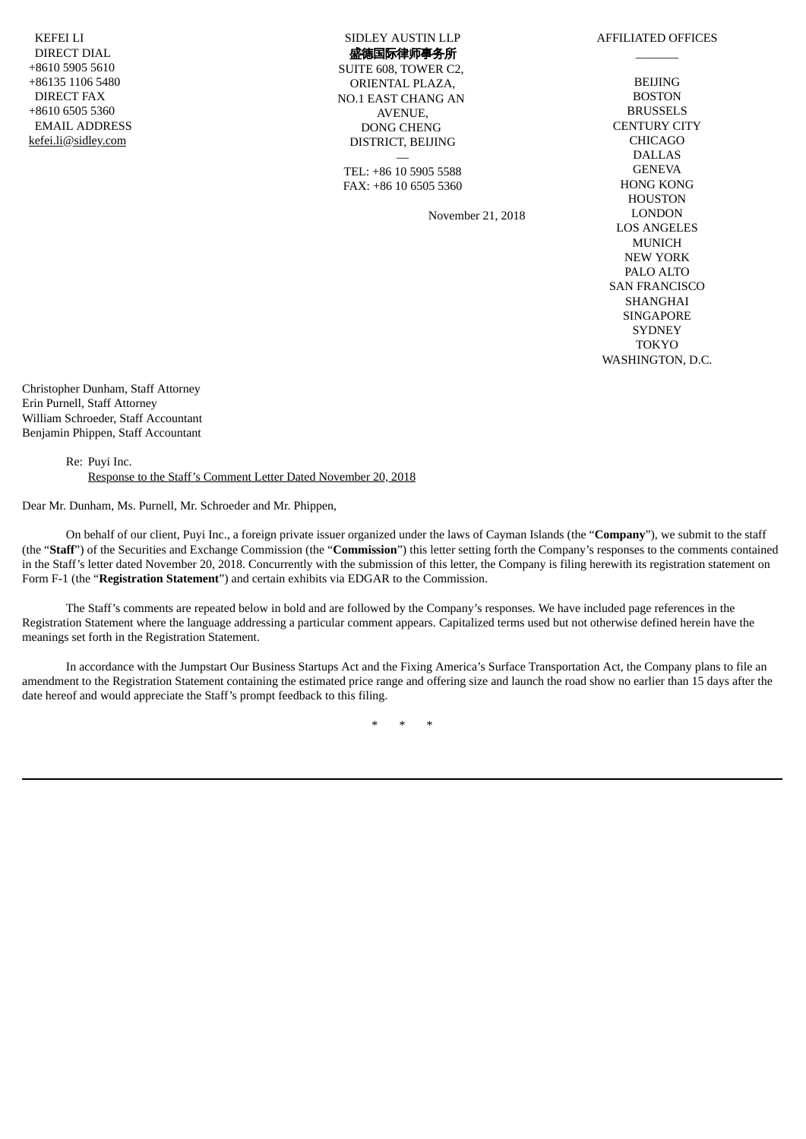KEFEI LI DIRECT DIAL +8610 5905 5610 +86135 1106 5480 DIRECT FAX +8610 6505 5360 EMAIL ADDRESS kefei.li@sidley.com

SIDLEY AUSTIN LLP 盛德国际律师事务所

SUITE 608, TOWER C2, ORIENTAL PLAZA, NO.1 EAST CHANG AN AVENUE, DONG CHENG DISTRICT, BEIJING

— TEL: +86 10 5905 5588 FAX: +86 10 6505 5360

November 21, 2018

 $\overline{\phantom{a}}$ BEIJING **BOSTON BRUSSELS** CENTURY CITY CHICAGO DALLAS **GENEVA** HONG KONG HOUSTON LONDON LOS ANGELES MUNICH NEW YORK PALO ALTO SAN FRANCISCO **SHANGHAI SINGAPORE SYDNEY** TOKYO WASHINGTON, D.C.

AFFILIATED OFFICES

Christopher Dunham, Staff Attorney Erin Purnell, Staff Attorney William Schroeder, Staff Accountant Benjamin Phippen, Staff Accountant

> Re: Puyi Inc. Response to the Staff's Comment Letter Dated November 20, 2018

Dear Mr. Dunham, Ms. Purnell, Mr. Schroeder and Mr. Phippen,

On behalf of our client, Puyi Inc., a foreign private issuer organized under the laws of Cayman Islands (the "**Company**"), we submit to the staff (the "**Staff**") of the Securities and Exchange Commission (the "**Commission**") this letter setting forth the Company's responses to the comments contained in the Staff's letter dated November 20, 2018. Concurrently with the submission of this letter, the Company is filing herewith its registration statement on Form F-1 (the "**Registration Statement**") and certain exhibits via EDGAR to the Commission.

The Staff's comments are repeated below in bold and are followed by the Company's responses. We have included page references in the Registration Statement where the language addressing a particular comment appears. Capitalized terms used but not otherwise defined herein have the meanings set forth in the Registration Statement.

In accordance with the Jumpstart Our Business Startups Act and the Fixing America's Surface Transportation Act, the Company plans to file an amendment to the Registration Statement containing the estimated price range and offering size and launch the road show no earlier than 15 days after the date hereof and would appreciate the Staff's prompt feedback to this filing.

\* \* \*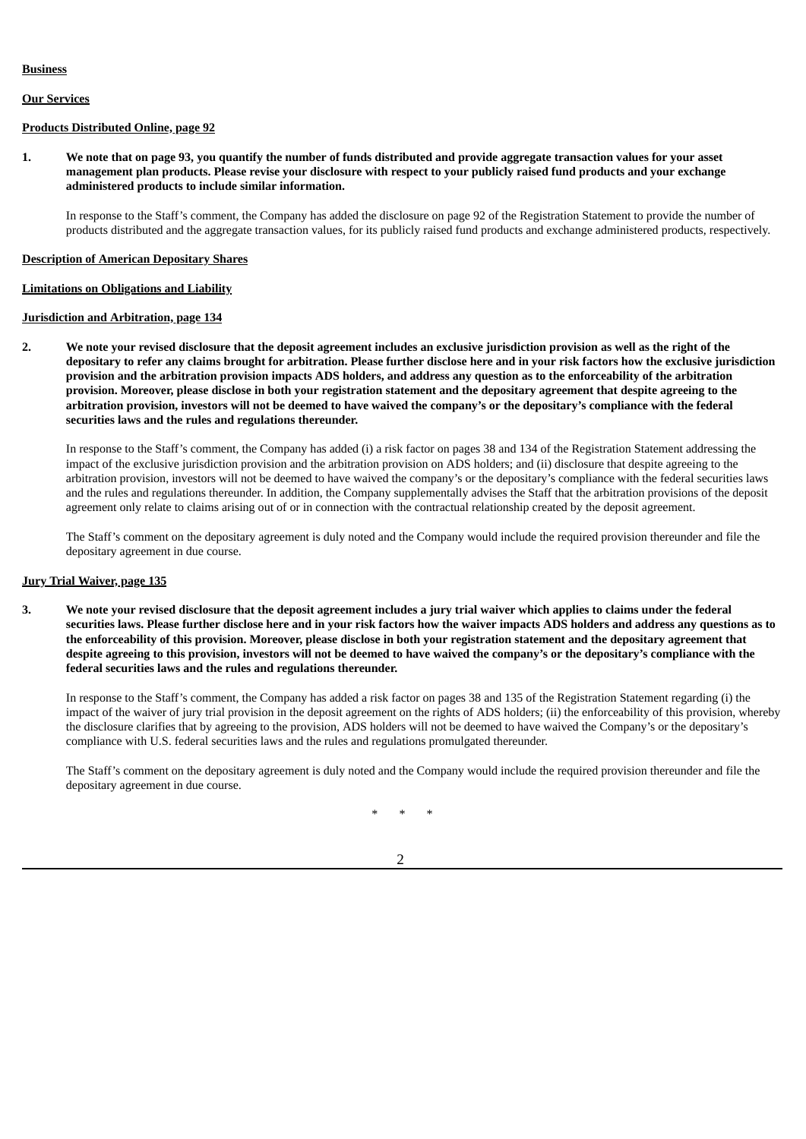## **Business**

# **Our Services**

## **Products Distributed Online, page 92**

1. We note that on page 93, you quantify the number of funds distributed and provide aggregate transaction values for your asset management plan products. Please revise your disclosure with respect to your publicly raised fund products and your exchange **administered products to include similar information.**

In response to the Staff's comment, the Company has added the disclosure on page 92 of the Registration Statement to provide the number of products distributed and the aggregate transaction values, for its publicly raised fund products and exchange administered products, respectively.

## **Description of American Depositary Shares**

## **Limitations on Obligations and Liability**

# **Jurisdiction and Arbitration, page 134**

2. We note your revised disclosure that the deposit agreement includes an exclusive jurisdiction provision as well as the right of the depositary to refer any claims brought for arbitration. Please further disclose here and in your risk factors how the exclusive jurisdiction provision and the arbitration provision impacts ADS holders, and address any question as to the enforceability of the arbitration provision. Moreover, please disclose in both your registration statement and the depositary agreement that despite agreeing to the arbitration provision, investors will not be deemed to have waived the company's or the depositary's compliance with the federal **securities laws and the rules and regulations thereunder.**

In response to the Staff's comment, the Company has added (i) a risk factor on pages 38 and 134 of the Registration Statement addressing the impact of the exclusive jurisdiction provision and the arbitration provision on ADS holders; and (ii) disclosure that despite agreeing to the arbitration provision, investors will not be deemed to have waived the company's or the depositary's compliance with the federal securities laws and the rules and regulations thereunder. In addition, the Company supplementally advises the Staff that the arbitration provisions of the deposit agreement only relate to claims arising out of or in connection with the contractual relationship created by the deposit agreement.

The Staff's comment on the depositary agreement is duly noted and the Company would include the required provision thereunder and file the depositary agreement in due course.

## **Jury Trial Waiver, page 135**

3. We note your revised disclosure that the deposit agreement includes a jury trial waiver which applies to claims under the federal securities laws. Please further disclose here and in your risk factors how the waiver impacts ADS holders and address any questions as to the enforceability of this provision. Moreover, please disclose in both your registration statement and the depositary agreement that despite agreeing to this provision, investors will not be deemed to have waived the company's or the depositary's compliance with the **federal securities laws and the rules and regulations thereunder.**

In response to the Staff's comment, the Company has added a risk factor on pages 38 and 135 of the Registration Statement regarding (i) the impact of the waiver of jury trial provision in the deposit agreement on the rights of ADS holders; (ii) the enforceability of this provision, whereby the disclosure clarifies that by agreeing to the provision, ADS holders will not be deemed to have waived the Company's or the depositary's compliance with U.S. federal securities laws and the rules and regulations promulgated thereunder.

The Staff's comment on the depositary agreement is duly noted and the Company would include the required provision thereunder and file the depositary agreement in due course.

\* \* \*

2